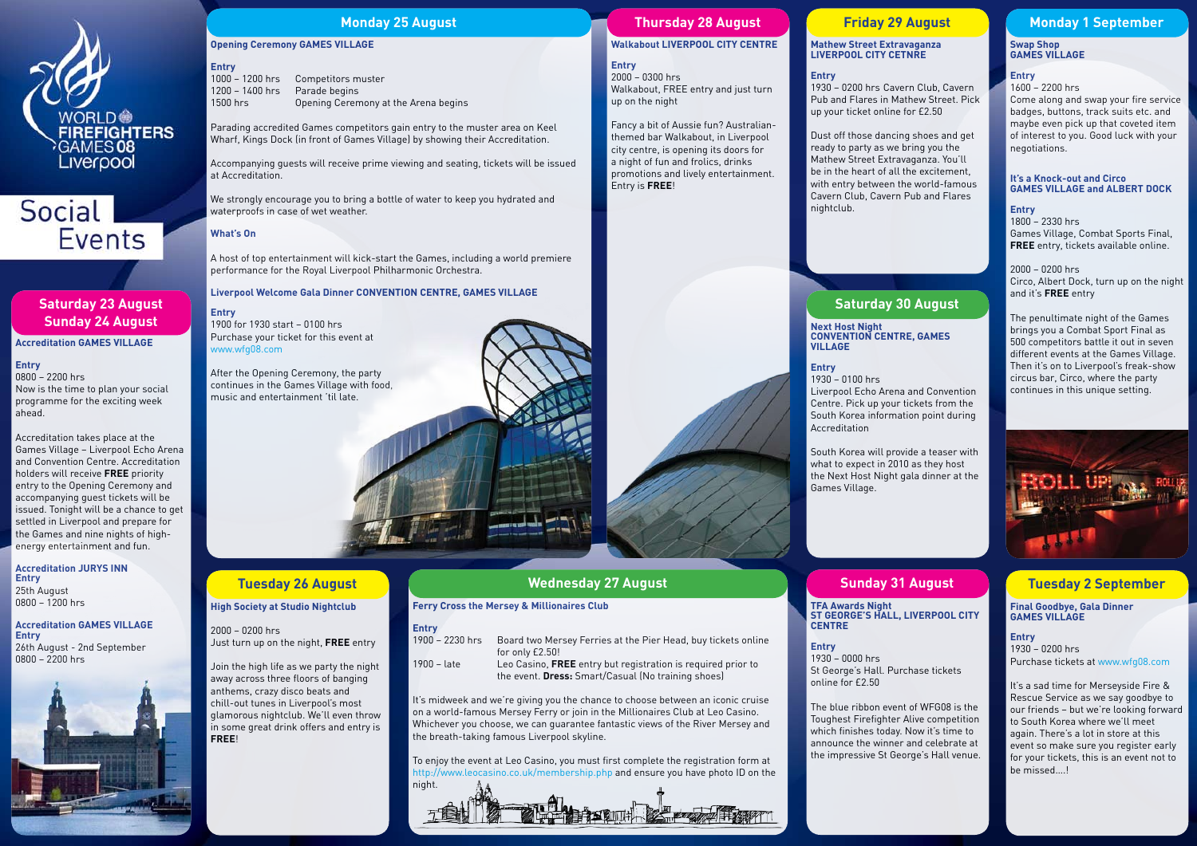

# Social **Events**

### **Opening Ceremony GAMES VILLAGE**

**Entry** 1000 – 1200 hrs Competitors muster 1200 – 1400 hrs Parade begins

1500 hrs Opening Ceremony at the Arena begins

Parading accredited Games competitors gain entry to the muster area on Keel Wharf, Kings Dock (in front of Games Village) by showing their Accreditation.

Accompanying guests will receive prime viewing and seating, tickets will be issued at Accreditation.

We strongly encourage you to bring a bottle of water to keep you hydrated and waterproofs in case of wet weather.

### **What's On**

A host of top entertainment will kick-start the Games, including a world premiere performance for the Royal Liverpool Philharmonic Orchestra.

### **Liverpool Welcome Gala Dinner CONVENTION CENTRE, GAMES VILLAGE**

**Entry** 1900 for 1930 start – 0100 hrs Purchase your ticket for this event at www.wfg08.com

After the Opening Ceremony, the party continues in the Games Village with food, music and entertainment 'til late.

**Accreditation GAMES VILLAGE**

#### **Entry**

0800 – 2200 hrs Now is the time to plan your social programme for the exciting week ahead.

Accreditation takes place at the Games Village – Liverpool Echo Arena and Convention Centre. Accreditation holders will receive **FREE** priority entry to the Opening Ceremony and accompanying guest tickets will be issued. Tonight will be a chance to get settled in Liverpool and prepare for the Games and nine nights of highenergy entertainment and fun.

#### **Accreditation JURYS INN Entry** 25th August 0800 – 1200 hrs

**Accreditation GAMES VILLAGE Entry** 26th August - 2nd September 0800 – 2200 hrs



## **Saturday 23 August Sunday 24 August**

## **Monday 25 August**

**High Society at Studio Nightclub** 

2000 – 0200 hrs

Just turn up on the night, **FREE** entry

Join the high life as we party the night away across three floors of banging anthems, crazy disco beats and chill-out tunes in Liverpool's most glamorous nightclub. We'll even throw in some great drink offers and entry is

**FREE**!

**Tuesday 26 August**

 $1930 - 0000$  hrs St George's Hall. Purchase tickets online for £2.50

#### **Ferry Cross the Mersey & Millionaires Club**

### **Entry**

| 1900 – 2230 hrs | Board two Mersey Ferries at the Pier Head, buy tickets online       |
|-----------------|---------------------------------------------------------------------|
|                 | for only £2.50!                                                     |
| $1900 -$ late   | Leo Casino. <b>FREE</b> entry but registration is required prior to |

1900 – late Leo Casino, **FREE** entry but registration is required prior to the event. **Dress:** Smart/Casual (No training shoes)

It's midweek and we're giving you the chance to choose between an iconic cruise on a world-famous Mersey Ferry or join in the Millionaires Club at Leo Casino. Whichever you choose, we can guarantee fantastic views of the River Mersey and the breath-taking famous Liverpool skyline.

To enjoy the event at Leo Casino, you must first complete the registration form at http://www.leocasino.co.uk/membership.php and ensure you have photo ID on the night.



## **Wednesday 27 August**

## **Walkabout LIVERPOOL CITY CENTRE**

**Entry**

2000 – 0300 hrs Walkabout, FREE entry and just turn up on the night

Fancy a bit of Aussie fun? Australianthemed bar Walkabout, in Liverpool city centre, is opening its doors for a night of fun and frolics, drinks promotions and lively entertainment. Entry is **FREE**!

## **Thursday 28 August**

### **Mathew Street Extravaganza LIVERPOOL CITY CETNRE**

### **Entry**

1930 – 0200 hrs Cavern Club, Cavern Pub and Flares in Mathew Street. Pick up your ticket online for £2.50

Dust off those dancing shoes and get ready to party as we bring you the Mathew Street Extravaganza. You'll be in the heart of all the excitement, with entry between the world-famous Cavern Club, Cavern Pub and Flares

nightclub.



## **Friday 29 August**

#### **Next Host Night CONVENTION CENTRE, GAMES VILLAGE**

#### **Entry**

1930 – 0100 hrs Liverpool Echo Arena and Convention Centre. Pick up your tickets from the South Korea information point during Accreditation

South Korea will provide a teaser with what to expect in 2010 as they host the Next Host Night gala dinner at the Games Village.

## **Saturday 30 August**

#### **TFA Awards Night ST GEORGE'S HALL, LIVERPOOL CITY CENTRE**

**Entry**

The blue ribbon event of WFG08 is the Toughest Firefighter Alive competition which finishes today. Now it's time to announce the winner and celebrate at the impressive St George's Hall venue.

## **Sunday 31 August**

#### **Swap Shop GAMES VILLAGE**

#### **Entry**

1600 – 2200 hrs

Come along and swap your fire service badges, buttons, track suits etc. and maybe even pick up that coveted item of interest to you. Good luck with your negotiations.

#### **It's a Knock-out and Circo GAMES VILLAGE and ALBERT DOCK**

**Entry** 1800 – 2330 hrs Games Village, Combat Sports Final, **FREE** entry, tickets available online.

2000 – 0200 hrs Circo, Albert Dock, turn up on the night and it's **FREE** entry

The penultimate night of the Games brings you a Combat Sport Final as 500 competitors battle it out in seven different events at the Games Village. Then it's on to Liverpool's freak-show circus bar, Circo, where the party continues in this unique setting.



## **Monday 1 September**

#### **Final Goodbye, Gala Dinner GAMES VILLAGE**

**Entry** 1930 – 0200 hrs Purchase tickets at www.wfg08.com

It's a sad time for Merseyside Fire & Rescue Service as we say goodbye to our friends – but we're looking forward to South Korea where we'll meet again. There's a lot in store at this event so make sure you register early for your tickets, this is an event not to be missed….!

## **Tuesday 2 September**